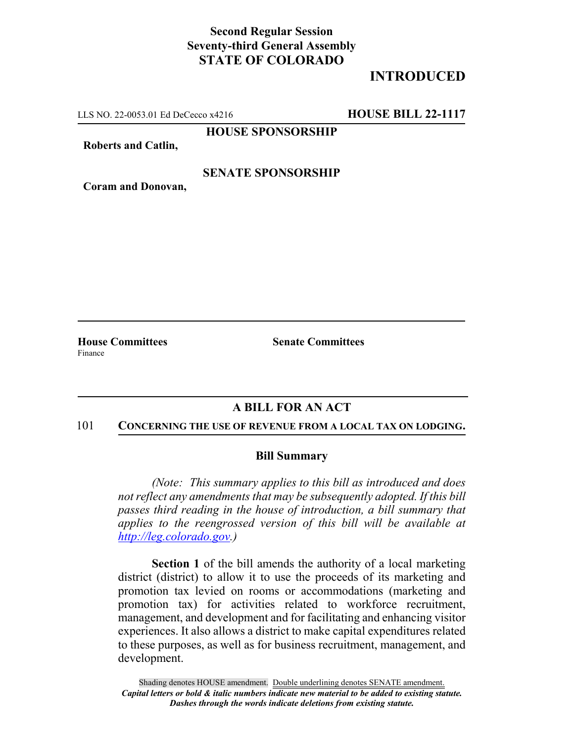# **Second Regular Session Seventy-third General Assembly STATE OF COLORADO**

# **INTRODUCED**

LLS NO. 22-0053.01 Ed DeCecco x4216 **HOUSE BILL 22-1117**

**HOUSE SPONSORSHIP**

**Roberts and Catlin,**

## **SENATE SPONSORSHIP**

**Coram and Donovan,**

**House Committees Senate Committees** Finance

## **A BILL FOR AN ACT**

#### 101 **CONCERNING THE USE OF REVENUE FROM A LOCAL TAX ON LODGING.**

### **Bill Summary**

*(Note: This summary applies to this bill as introduced and does not reflect any amendments that may be subsequently adopted. If this bill passes third reading in the house of introduction, a bill summary that applies to the reengrossed version of this bill will be available at http://leg.colorado.gov.)*

**Section 1** of the bill amends the authority of a local marketing district (district) to allow it to use the proceeds of its marketing and promotion tax levied on rooms or accommodations (marketing and promotion tax) for activities related to workforce recruitment, management, and development and for facilitating and enhancing visitor experiences. It also allows a district to make capital expenditures related to these purposes, as well as for business recruitment, management, and development.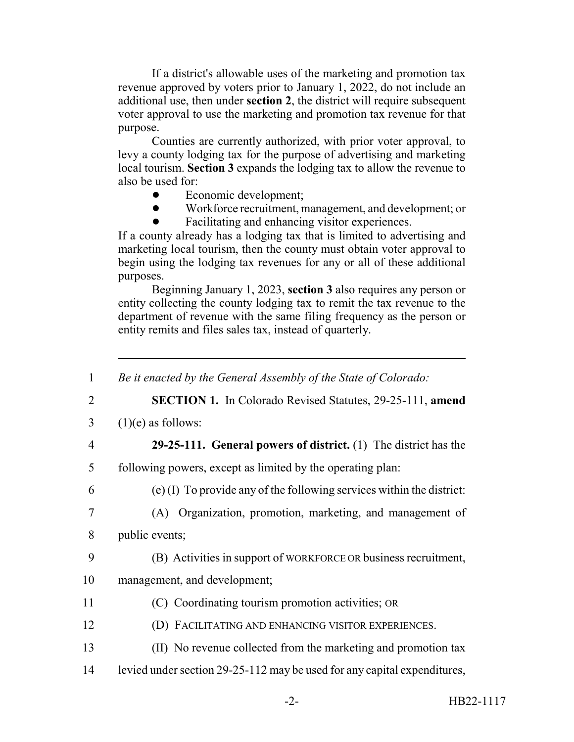If a district's allowable uses of the marketing and promotion tax revenue approved by voters prior to January 1, 2022, do not include an additional use, then under **section 2**, the district will require subsequent voter approval to use the marketing and promotion tax revenue for that purpose.

Counties are currently authorized, with prior voter approval, to levy a county lodging tax for the purpose of advertising and marketing local tourism. **Section 3** expands the lodging tax to allow the revenue to also be used for:

- Economic development;
- ! Workforce recruitment, management, and development; or
- ! Facilitating and enhancing visitor experiences.

If a county already has a lodging tax that is limited to advertising and marketing local tourism, then the county must obtain voter approval to begin using the lodging tax revenues for any or all of these additional purposes.

Beginning January 1, 2023, **section 3** also requires any person or entity collecting the county lodging tax to remit the tax revenue to the department of revenue with the same filing frequency as the person or entity remits and files sales tax, instead of quarterly.

| $\mathbf{1}$   | Be it enacted by the General Assembly of the State of Colorado:          |
|----------------|--------------------------------------------------------------------------|
| $\overline{2}$ | <b>SECTION 1.</b> In Colorado Revised Statutes, 29-25-111, amend         |
| 3              | $(1)(e)$ as follows:                                                     |
| $\overline{4}$ | 29-25-111. General powers of district. $(1)$ The district has the        |
| 5              | following powers, except as limited by the operating plan:               |
| 6              | $(e)$ (I) To provide any of the following services within the district:  |
| 7              | (A) Organization, promotion, marketing, and management of                |
| 8              | public events;                                                           |
| 9              | (B) Activities in support of WORKFORCE OR business recruitment,          |
| 10             | management, and development;                                             |
| 11             | (C) Coordinating tourism promotion activities; OR                        |
| 12             | (D) FACILITATING AND ENHANCING VISITOR EXPERIENCES.                      |
| 13             | (II) No revenue collected from the marketing and promotion tax           |
| 14             | levied under section 29-25-112 may be used for any capital expenditures, |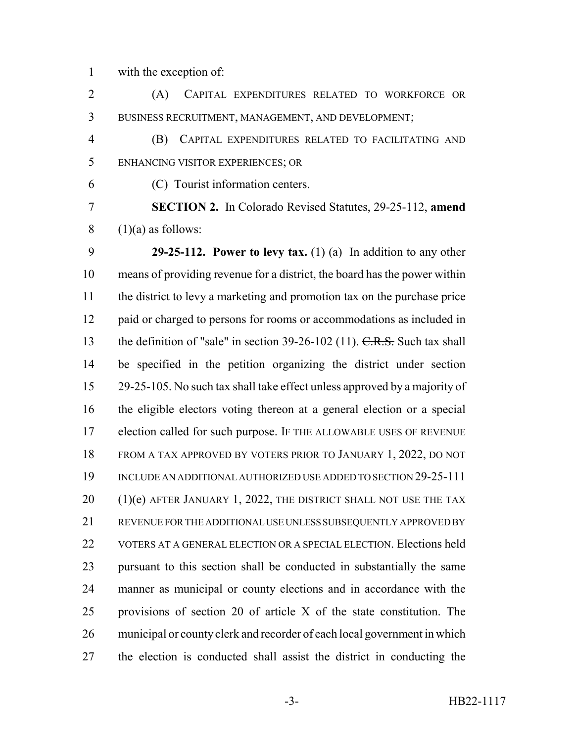with the exception of:

 (A) CAPITAL EXPENDITURES RELATED TO WORKFORCE OR BUSINESS RECRUITMENT, MANAGEMENT, AND DEVELOPMENT;

 (B) CAPITAL EXPENDITURES RELATED TO FACILITATING AND ENHANCING VISITOR EXPERIENCES; OR

(C) Tourist information centers.

 **SECTION 2.** In Colorado Revised Statutes, 29-25-112, **amend** (1)(a) as follows:

 **29-25-112. Power to levy tax.** (1) (a) In addition to any other means of providing revenue for a district, the board has the power within the district to levy a marketing and promotion tax on the purchase price 12 paid or charged to persons for rooms or accommodations as included in 13 the definition of "sale" in section 39-26-102 (11). C.R.S. Such tax shall be specified in the petition organizing the district under section 29-25-105. No such tax shall take effect unless approved by a majority of the eligible electors voting thereon at a general election or a special election called for such purpose. IF THE ALLOWABLE USES OF REVENUE FROM A TAX APPROVED BY VOTERS PRIOR TO JANUARY 1, 2022, DO NOT INCLUDE AN ADDITIONAL AUTHORIZED USE ADDED TO SECTION 29-25-111 20 (1)(e) AFTER JANUARY 1, 2022, THE DISTRICT SHALL NOT USE THE TAX REVENUE FOR THE ADDITIONAL USE UNLESS SUBSEQUENTLY APPROVED BY 22 VOTERS AT A GENERAL ELECTION OR A SPECIAL ELECTION. Elections held pursuant to this section shall be conducted in substantially the same manner as municipal or county elections and in accordance with the provisions of section 20 of article X of the state constitution. The municipal or county clerk and recorder of each local government in which the election is conducted shall assist the district in conducting the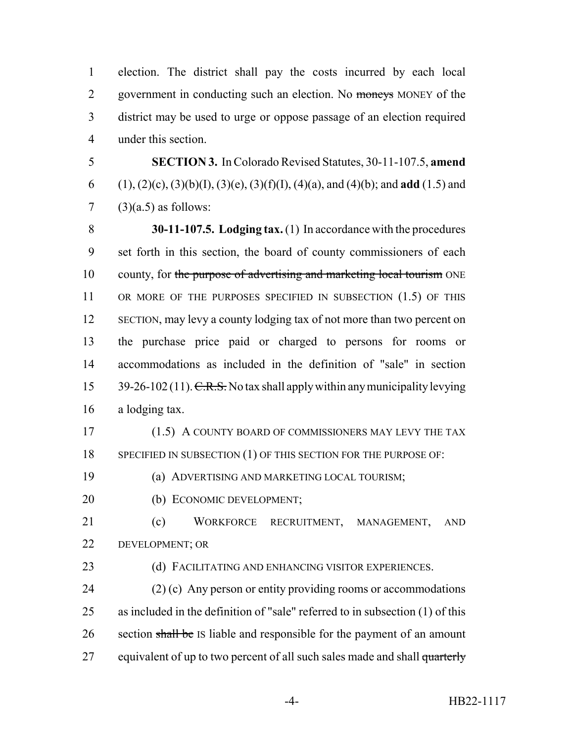election. The district shall pay the costs incurred by each local 2 government in conducting such an election. No moneys MONEY of the district may be used to urge or oppose passage of an election required under this section.

5 **SECTION 3.** In Colorado Revised Statutes, 30-11-107.5, **amend** 6 (1), (2)(c), (3)(b)(I), (3)(e), (3)(f)(I), (4)(a), and (4)(b); and **add** (1.5) and  $7 \quad (3)(a.5)$  as follows:

 **30-11-107.5. Lodging tax.** (1) In accordance with the procedures set forth in this section, the board of county commissioners of each 10 county, for the purpose of advertising and marketing local tourism ONE 11 OR MORE OF THE PURPOSES SPECIFIED IN SUBSECTION (1.5) OF THIS 12 SECTION, may levy a county lodging tax of not more than two percent on the purchase price paid or charged to persons for rooms or accommodations as included in the definition of "sale" in section  $39-26-102(11)$ . C.R.S. No tax shall apply within any municipality levying a lodging tax.

17 (1.5) A COUNTY BOARD OF COMMISSIONERS MAY LEVY THE TAX 18 SPECIFIED IN SUBSECTION (1) OF THIS SECTION FOR THE PURPOSE OF:

19 (a) ADVERTISING AND MARKETING LOCAL TOURISM;

20 (b) ECONOMIC DEVELOPMENT;

21 (c) WORKFORCE RECRUITMENT, MANAGEMENT, AND 22 DEVELOPMENT; OR

23 (d) FACILITATING AND ENHANCING VISITOR EXPERIENCES.

24 (2) (c) Any person or entity providing rooms or accommodations 25 as included in the definition of "sale" referred to in subsection (1) of this 26 section shall be IS liable and responsible for the payment of an amount 27 equivalent of up to two percent of all such sales made and shall quarterly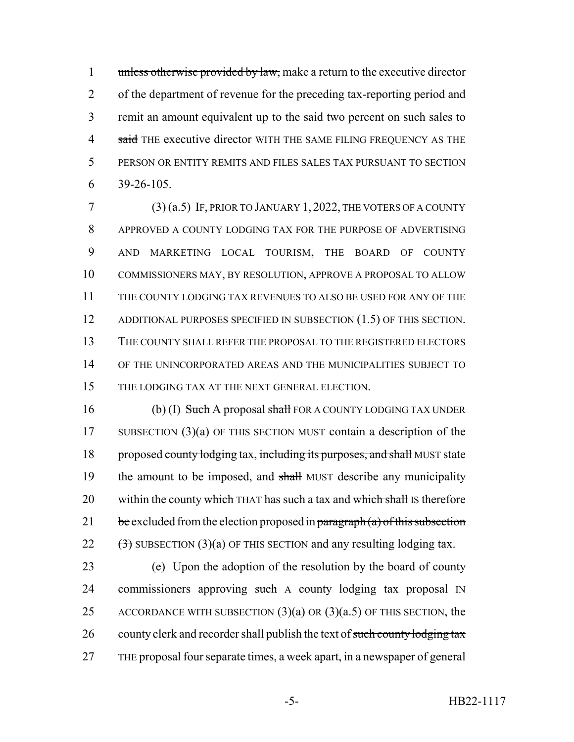1 unless otherwise provided by law, make a return to the executive director of the department of revenue for the preceding tax-reporting period and remit an amount equivalent up to the said two percent on such sales to 4 said THE executive director WITH THE SAME FILING FREQUENCY AS THE PERSON OR ENTITY REMITS AND FILES SALES TAX PURSUANT TO SECTION 39-26-105.

 (3) (a.5) IF, PRIOR TO JANUARY 1, 2022, THE VOTERS OF A COUNTY APPROVED A COUNTY LODGING TAX FOR THE PURPOSE OF ADVERTISING AND MARKETING LOCAL TOURISM, THE BOARD OF COUNTY COMMISSIONERS MAY, BY RESOLUTION, APPROVE A PROPOSAL TO ALLOW THE COUNTY LODGING TAX REVENUES TO ALSO BE USED FOR ANY OF THE 12 ADDITIONAL PURPOSES SPECIFIED IN SUBSECTION (1.5) OF THIS SECTION. THE COUNTY SHALL REFER THE PROPOSAL TO THE REGISTERED ELECTORS OF THE UNINCORPORATED AREAS AND THE MUNICIPALITIES SUBJECT TO THE LODGING TAX AT THE NEXT GENERAL ELECTION.

16 (b) (I) Such A proposal shall FOR A COUNTY LODGING TAX UNDER 17 SUBSECTION (3)(a) OF THIS SECTION MUST contain a description of the 18 proposed county lodging tax, including its purposes, and shall MUST state 19 the amount to be imposed, and shall MUST describe any municipality 20 within the county which THAT has such a tax and which shall IS therefore 21 be excluded from the election proposed in paragraph  $(a)$  of this subsection 22  $(\frac{3}{2})$  SUBSECTION (3)(a) OF THIS SECTION and any resulting lodging tax.

23 (e) Upon the adoption of the resolution by the board of county 24 commissioners approving such A county lodging tax proposal IN 25 ACCORDANCE WITH SUBSECTION  $(3)(a)$  OR  $(3)(a.5)$  OF THIS SECTION, the 26 county clerk and recorder shall publish the text of such county lodging tax 27 THE proposal four separate times, a week apart, in a newspaper of general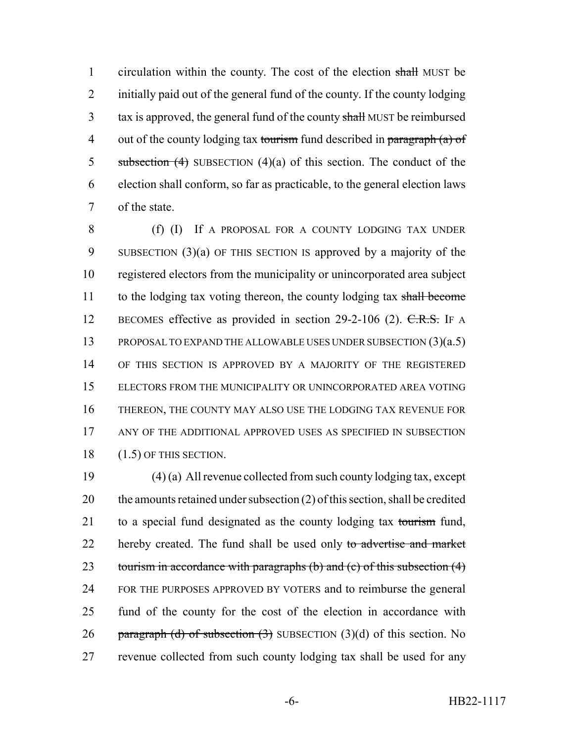1 circulation within the county. The cost of the election shall MUST be 2 initially paid out of the general fund of the county. If the county lodging 3 tax is approved, the general fund of the county shall MUST be reimbursed 4 out of the county lodging tax tourism fund described in paragraph  $(a)$  of 5 subsection  $(4)$  SUBSECTION  $(4)(a)$  of this section. The conduct of the 6 election shall conform, so far as practicable, to the general election laws 7 of the state.

 (f) (I) If A PROPOSAL FOR A COUNTY LODGING TAX UNDER SUBSECTION (3)(a) OF THIS SECTION IS approved by a majority of the registered electors from the municipality or unincorporated area subject 11 to the lodging tax voting thereon, the county lodging tax shall become 12 BECOMES effective as provided in section 29-2-106 (2). C.R.S. IF A 13 PROPOSAL TO EXPAND THE ALLOWABLE USES UNDER SUBSECTION (3)(a.5) OF THIS SECTION IS APPROVED BY A MAJORITY OF THE REGISTERED ELECTORS FROM THE MUNICIPALITY OR UNINCORPORATED AREA VOTING THEREON, THE COUNTY MAY ALSO USE THE LODGING TAX REVENUE FOR ANY OF THE ADDITIONAL APPROVED USES AS SPECIFIED IN SUBSECTION (1.5) OF THIS SECTION.

19 (4) (a) All revenue collected from such county lodging tax, except 20 the amounts retained under subsection  $(2)$  of this section, shall be credited 21 to a special fund designated as the county lodging tax tourism fund, 22 hereby created. The fund shall be used only to advertise and market 23 tourism in accordance with paragraphs (b) and (c) of this subsection (4) 24 FOR THE PURPOSES APPROVED BY VOTERS and to reimburse the general 25 fund of the county for the cost of the election in accordance with 26 paragraph (d) of subsection  $(3)$  SUBSECTION  $(3)(d)$  of this section. No 27 revenue collected from such county lodging tax shall be used for any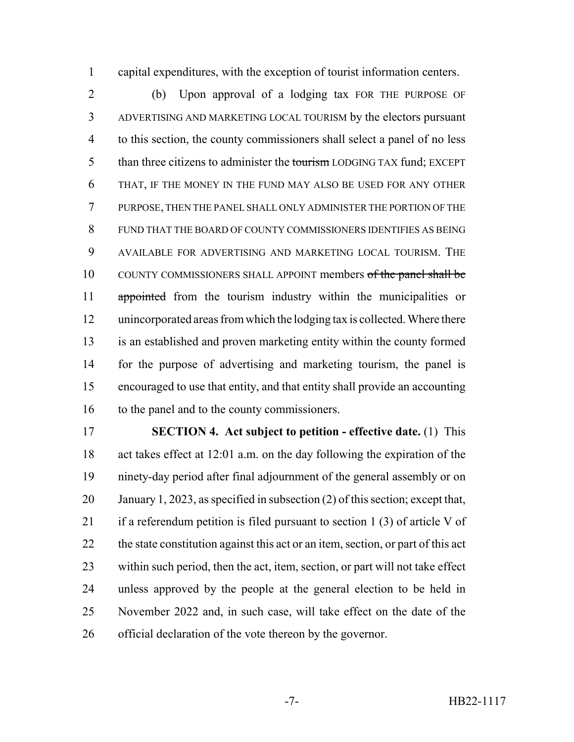capital expenditures, with the exception of tourist information centers.

 (b) Upon approval of a lodging tax FOR THE PURPOSE OF ADVERTISING AND MARKETING LOCAL TOURISM by the electors pursuant to this section, the county commissioners shall select a panel of no less 5 than three citizens to administer the tourism LODGING TAX fund; EXCEPT THAT, IF THE MONEY IN THE FUND MAY ALSO BE USED FOR ANY OTHER PURPOSE, THEN THE PANEL SHALL ONLY ADMINISTER THE PORTION OF THE FUND THAT THE BOARD OF COUNTY COMMISSIONERS IDENTIFIES AS BEING AVAILABLE FOR ADVERTISING AND MARKETING LOCAL TOURISM. THE 10 COUNTY COMMISSIONERS SHALL APPOINT members of the panel shall be 11 appointed from the tourism industry within the municipalities or unincorporated areas from which the lodging tax is collected. Where there is an established and proven marketing entity within the county formed for the purpose of advertising and marketing tourism, the panel is encouraged to use that entity, and that entity shall provide an accounting 16 to the panel and to the county commissioners.

 **SECTION 4. Act subject to petition - effective date.** (1) This act takes effect at 12:01 a.m. on the day following the expiration of the ninety-day period after final adjournment of the general assembly or on January 1, 2023, as specified in subsection (2) of this section; except that, if a referendum petition is filed pursuant to section 1 (3) of article V of 22 the state constitution against this act or an item, section, or part of this act within such period, then the act, item, section, or part will not take effect unless approved by the people at the general election to be held in November 2022 and, in such case, will take effect on the date of the official declaration of the vote thereon by the governor.